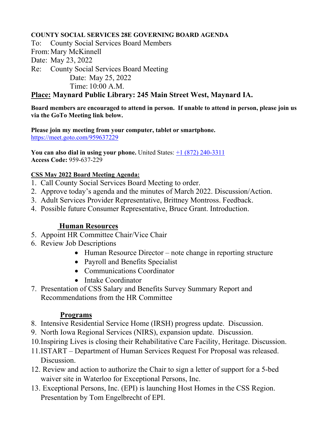## **COUNTY SOCIAL SERVICES 28E GOVERNING BOARD AGENDA**

To: County Social Services Board Members From:Mary McKinnell Date: May 23, 2022 Re: County Social Services Board Meeting Date: May 25, 2022 Time: 10:00 A.M. **Place: Maynard Public Library: 245 Main Street West, Maynard IA.** 

**Board members are encouraged to attend in person. If unable to attend in person, please join us via the GoTo Meeting link below.**

**Please join my meeting from your computer, tablet or smartphone.**  <https://meet.goto.com/959637229>

**You can also dial in using your phone.** United States:  $\pm 1$  (872) 240-3311 **Access Code:** 959-637-229

## **CSS May 2022 Board Meeting Agenda:**

- 1. Call County Social Services Board Meeting to order.
- 2. Approve today's agenda and the minutes of March 2022. Discussion/Action.
- 3. Adult Services Provider Representative, Brittney Montross. Feedback.
- 4. Possible future Consumer Representative, Bruce Grant. Introduction.

# **Human Resources**

- 5. Appoint HR Committee Chair/Vice Chair
- 6. Review Job Descriptions
	- Human Resource Director note change in reporting structure
	- Payroll and Benefits Specialist
	- Communications Coordinator
	- Intake Coordinator
- 7. Presentation of CSS Salary and Benefits Survey Summary Report and Recommendations from the HR Committee

#### **Programs**

- 8. Intensive Residential Service Home (IRSH) progress update. Discussion.
- 9. North Iowa Regional Services (NIRS), expansion update. Discussion.
- 10.Inspiring Lives is closing their Rehabilitative Care Facility, Heritage. Discussion.
- 11.ISTART Department of Human Services Request For Proposal was released. Discussion.
- 12. Review and action to authorize the Chair to sign a letter of support for a 5-bed waiver site in Waterloo for Exceptional Persons, Inc.
- 13. Exceptional Persons, Inc. (EPI) is launching Host Homes in the CSS Region. Presentation by Tom Engelbrecht of EPI.